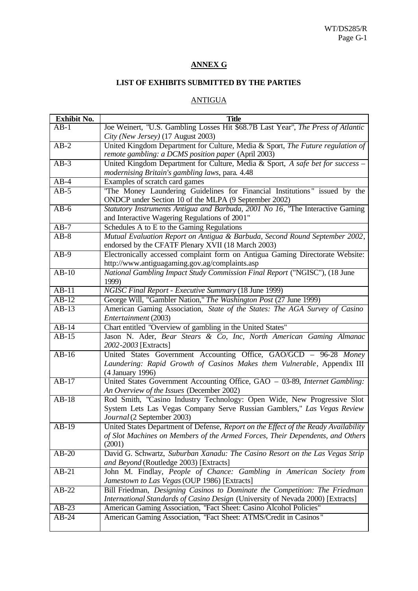## **ANNEX G**

## **LIST OF EXHIBITS SUBMITTED BY THE PARTIES**

## ANTIGUA

| <b>Exhibit No.</b> | <b>Title</b>                                                                                                   |
|--------------------|----------------------------------------------------------------------------------------------------------------|
| AB-1               | Joe Weinert, "U.S. Gambling Losses Hit \$68.7B Last Year", The Press of Atlantic                               |
|                    | City (New Jersey) (17 August 2003)                                                                             |
| $AB-2$             | United Kingdom Department for Culture, Media & Sport, The Future regulation of                                 |
|                    | remote gambling: a DCMS position paper (April 2003)                                                            |
| $AB-3$             | United Kingdom Department for Culture, Media & Sport, A safe bet for success -                                 |
|                    | modernising Britain's gambling laws, para. 4.48                                                                |
| $AB-4$             | Examples of scratch card games                                                                                 |
| $AB-5$             | "The Money Laundering Guidelines for Financial Institutions" issued by the                                     |
|                    | ONDCP under Section 10 of the MLPA (9 September 2002)                                                          |
| $AB-6$             | Statutory Instruments Antigua and Barbuda, 2001 No 16, "The Interactive Gaming                                 |
|                    | and Interactive Wagering Regulations of 2001"                                                                  |
| $AB-7$             | Schedules A to E to the Gaming Regulations                                                                     |
| $AB-8$             | Mutual Evaluation Report on Antigua & Barbuda, Second Round September 2002,                                    |
|                    | endorsed by the CFATF Plenary XVII (18 March 2003)                                                             |
| $AB-9$             | Electronically accessed complaint form on Antigua Gaming Directorate Website:                                  |
|                    | http://www.antiguagaming.gov.ag/complaints.asp                                                                 |
| $AB-10$            | National Gambling Impact Study Commission Final Report ("NGISC"), (18 June                                     |
|                    | 1999)                                                                                                          |
| $AB-11$            | <b>NGISC Final Report - Executive Summary (18 June 1999)</b>                                                   |
| $AB-12$            | George Will, "Gambler Nation," The Washington Post (27 June 1999)                                              |
| $AB-13$            | American Gaming Association, State of the States: The AGA Survey of Casino                                     |
|                    | Entertainment (2003)                                                                                           |
| $AB-14$            | Chart entitled "Overview of gambling in the United States"                                                     |
| $AB-15$            | Jason N. Ader, Bear Stears & Co, Inc, North American Gaming Almanac                                            |
|                    | 2002-2003 [Extracts]                                                                                           |
| $AB-16$            | United States Government Accounting Office, GAO/GCD - 96-28 Money                                              |
|                    | Laundering: Rapid Growth of Casinos Makes them Vulnerable, Appendix III                                        |
|                    | (4 January 1996)                                                                                               |
| $AB-17$            | United States Government Accounting Office, GAO - 03-89, Internet Gambling:                                    |
|                    | An Overview of the Issues (December 2002)                                                                      |
| $\overline{AB-18}$ | Rod Smith, "Casino Industry Technology: Open Wide, New Progressive Slot                                        |
|                    | System Lets Las Vegas Company Serve Russian Gamblers," Las Vegas Review                                        |
|                    | Journal (2 September 2003)                                                                                     |
| $AB-19$            | United States Department of Defense, Report on the Effect of the Ready Availability                            |
|                    | of Slot Machines on Members of the Armed Forces, Their Dependents, and Others                                  |
| $AB-20$            | (2001)                                                                                                         |
|                    | David G. Schwartz, Suburban Xanadu: The Casino Resort on the Las Vegas Strip                                   |
|                    | and Beyond (Routledge 2003) [Extracts]<br>John M. Findlay, People of Chance: Gambling in American Society from |
| $AB-21$            | Jamestown to Las Vegas (OUP 1986) [Extracts]                                                                   |
| $AB-2\overline{2}$ | Bill Friedman, Designing Casinos to Dominate the Competition: The Friedman                                     |
|                    | International Standards of Casino Design (University of Nevada 2000) [Extracts]                                |
| $AB-23$            | American Gaming Association, ''Fact Sheet: Casino Alcohol Policies"                                            |
| $AB-24$            | American Gaming Association, "Fact Sheet: ATMS/Credit in Casinos"                                              |
|                    |                                                                                                                |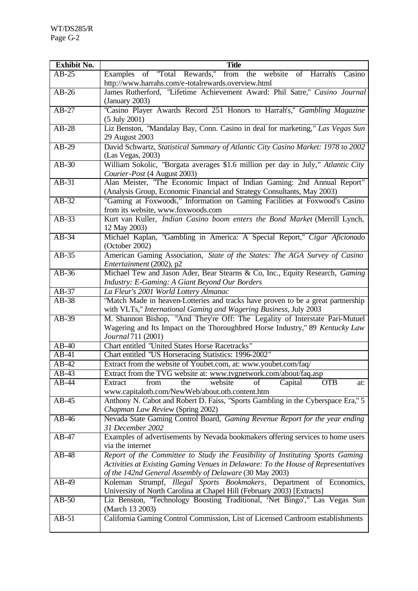| <b>Exhibit No.</b> | <b>Title</b>                                                                                                                                                                      |
|--------------------|-----------------------------------------------------------------------------------------------------------------------------------------------------------------------------------|
| $AB-25$            | Examples of "Total Rewards," from the website of Harrah's Casino                                                                                                                  |
|                    | http://www.harrahs.com/e-totalrewards.overview.html                                                                                                                               |
| $AB-26$            | James Rutherford, "Lifetime Achievement Award: Phil Satre," Casino Journal                                                                                                        |
|                    | (January 2003)                                                                                                                                                                    |
| $\overline{AB-27}$ | "Casino Player Awards Record 251 Honors to Harrah's," Gambling Magazine<br>$(5 \text{ July } 2001)$                                                                               |
| $AB-28$            | Liz Benston, "Mandalay Bay, Conn. Casino in deal for marketing," Las Vegas Sun                                                                                                    |
|                    | 29 August 2003                                                                                                                                                                    |
| $AB-29$            | David Schwartz, Statistical Summary of Atlantic City Casino Market: 1978 to 2002<br>(Las Vegas, 2003)                                                                             |
| $AB-30$            | William Sokolic, "Borgata averages \$1.6 million per day in July," Atlantic City                                                                                                  |
|                    | Courier-Post (4 August 2003)                                                                                                                                                      |
| $AB-31$            | Alan Meister, "The Economic Impact of Indian Gaming: 2nd Annual Report"<br>(Analysis Group, Economic Financial and Strategy Consultants, May 2003)                                |
| $AB-32$            | "Gaming at Foxwoods," Information on Gaming Facilities at Foxwood's Casino<br>from its website, www.foxwoods.com                                                                  |
| $AB-33$            | Kurt van Kuller, Indian Casino boom enters the Bond Market (Merrill Lynch,<br>12 May 2003)                                                                                        |
| $AB-34$            | Michael Kaplan, "Gambling in America: A Special Report," Cigar Aficionado<br>(October 2002)                                                                                       |
| $AB-35$            | American Gaming Association, State of the States: The AGA Survey of Casino                                                                                                        |
|                    | Entertainment (2002), p2                                                                                                                                                          |
| $AB-36$            | Michael Tew and Jason Ader, Bear Stearns & Co, Inc., Equity Research, Gaming                                                                                                      |
|                    | Industry: E-Gaming: A Giant Beyond Our Borders                                                                                                                                    |
| $AB-37$            | La Fleur's 2001 World Lottery Almanac                                                                                                                                             |
| $AB-38$            | "Match Made in heaven-Lotteries and tracks have proven to be a great partnership<br>with VLTs," International Gaming and Wagering Business, July 2003                             |
| $AB-39$            | M. Shannon Bishop, "And They're Off: The Legality of Interstate Pari-Mutuel<br>Wagering and Its Impact on the Thoroughbred Horse Industry," 89 Kentucky Law<br>Journal 711 (2001) |
| $AB-40$            | <b>Chart entitled "United States Horse Racetracks"</b>                                                                                                                            |
| $AB-41$            | Chart entitled "US Horseracing Statistics: 1996-2002"                                                                                                                             |
| $AB-42$            | Extract from the website of Youbet.com, at: www.youbet.com/faq/                                                                                                                   |
| $AB-43$            | Extract from the TVG website at: www.tvgnetwork.com/about/faq.asp                                                                                                                 |
| $AB-44$            | website<br>Capital<br><b>OTB</b><br>from<br>the<br>οf<br>Extract<br>at:                                                                                                           |
|                    | www.capitalotb.com/NewWeb/about.otb.content.htm                                                                                                                                   |
| $AB-45$            | Anthony N. Cabot and Robert D. Faiss, "Sports Gambling in the Cyberspace Era," 5<br>Chapman Law Review (Spring 2002)                                                              |
| $AB-46$            | Nevada State Gaming Control Board, Gaming Revenue Report for the year ending                                                                                                      |
|                    | 31 December 2002                                                                                                                                                                  |
| $AB-47$            | Examples of advertisements by Nevada bookmakers offering services to home users                                                                                                   |
|                    | via the internet                                                                                                                                                                  |
| $AB-48$            | Report of the Committee to Study the Feasibility of Instituting Sports Gaming<br>Activities at Existing Gaming Venues in Delaware: To the House of Representatives                |
| $AB-49$            | of the 142nd General Assembly of Delaware (30 May 2003)<br>Koleman Strumpf, Illegal Sports Bookmakers, Department of Economics,                                                   |
|                    | University of North Carolina at Chapel Hill (February 2003) [Extracts]                                                                                                            |
| $AB-50$            | Liz Benston, "Technology Boosting Traditional, 'Net Bingo'," Las Vegas Sun                                                                                                        |
|                    | (March 13 2003)                                                                                                                                                                   |
| $AB-51$            | California Gaming Control Commission, List of Licensed Cardroom establishments                                                                                                    |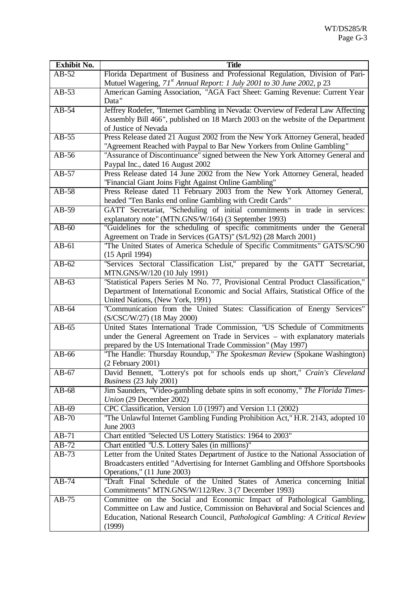| <b>Exhibit No.</b> | <b>Title</b>                                                                                                                                  |
|--------------------|-----------------------------------------------------------------------------------------------------------------------------------------------|
| $AB-52$            | Florida Department of Business and Professional Regulation, Division of Pari-                                                                 |
|                    | Mutuel Wagering, 71 <sup>st</sup> Annual Report: 1 July 2001 to 30 June 2002, p 23                                                            |
| $AB-53$            | American Gaming Association, "AGA Fact Sheet: Gaming Revenue: Current Year                                                                    |
|                    | Data"                                                                                                                                         |
| $AB-54$            | Jeffrey Rodefer, "Internet Gambling in Nevada: Overview of Federal Law Affecting                                                              |
|                    | Assembly Bill 466", published on 18 March 2003 on the website of the Department                                                               |
|                    | of Justice of Nevada                                                                                                                          |
| $AB-55$            | Press Release dated 21 August 2002 from the New York Attorney General, headed                                                                 |
|                    | "Agreement Reached with Paypal to Bar New Yorkers from Online Gambling"                                                                       |
| $AB-56$            | "Assurance of Discontinuance" signed between the New York Attorney General and                                                                |
|                    | Paypal Inc., dated 16 August 2002                                                                                                             |
| $AB-57$            | Press Release dated 14 June 2002 from the New York Attorney General, headed                                                                   |
|                    | "Financial Giant Joins Fight Against Online Gambling"                                                                                         |
| $AB-58$            | Press Release dated 11 February 2003 from the New York Attorney General,                                                                      |
|                    | headed "Ten Banks end online Gambling with Credit Cards"                                                                                      |
| $AB-59$            | GATT Secretariat, "Scheduling of initial commitments in trade in services:                                                                    |
|                    | explanatory note" (MTN.GNS/W/164) (3 September 1993)                                                                                          |
| $AB-60$            | "Guidelines for the scheduling of specific commitments under the General                                                                      |
| $AB-61$            | Agreement on Trade in Services (GATS)" (S/L/92) (28 March 2001)<br>"The United States of America Schedule of Specific Commitments" GATS/SC/90 |
|                    | (15 April 1994)                                                                                                                               |
| $AB-62$            | "Services Sectoral Classification List," prepared by the GATT Secretariat,                                                                    |
|                    | MTN.GNS/W/120 (10 July 1991)                                                                                                                  |
| $AB-63$            | "Statistical Papers Series M No. 77, Provisional Central Product Classification,"                                                             |
|                    | Department of International Economic and Social Affairs, Statistical Office of the                                                            |
|                    | United Nations, (New York, 1991)                                                                                                              |
| $AB-64$            | "Communication from the United States: Classification of Energy Services"                                                                     |
|                    | (S/CSC/W/27) (18 May 2000)                                                                                                                    |
| $AB-65$            | United States International Trade Commission, "US Schedule of Commitments                                                                     |
|                    | under the General Agreement on Trade in Services – with explanatory materials                                                                 |
|                    | prepared by the US International Trade Commission" (May 1997)                                                                                 |
| $AB-66$            | "The Handle: Thursday Roundup," The Spokesman Review (Spokane Washington)                                                                     |
|                    | $(2$ February 2001)                                                                                                                           |
| $AB-67$            | David Bennett, "Lottery's pot for schools ends up short," Crain's Cleveland                                                                   |
|                    | Business (23 July 2001)                                                                                                                       |
| $AB-68$            | Jim Saunders, "Video-gambling debate spins in soft economy," The Florida Times-                                                               |
|                    | Union (29 December 2002)                                                                                                                      |
| $AB-69$            | CPC Classification, Version 1.0 (1997) and Version 1.1 (2002)                                                                                 |
| $AB-70$            | "The Unlawful Internet Gambling Funding Prohibition Act," H.R. 2143, adopted 10<br><b>June 2003</b>                                           |
| $AB-71$            | Chart entitled "Selected US Lottery Statistics: 1964 to 2003"                                                                                 |
| $AB-72$            | Chart entitled "U.S. Lottery Sales (in millions)"                                                                                             |
| $AB-73$            | Letter from the United States Department of Justice to the National Association of                                                            |
|                    | Broadcasters entitled "Advertising for Internet Gambling and Offshore Sportsbooks                                                             |
|                    | Operations," (11 June 2003)                                                                                                                   |
| $AB-74$            | "Draft Final Schedule of the United States of America concerning Initial                                                                      |
|                    | Commitments" MTN.GNS/W/112/Rev. 3 (7 December 1993)                                                                                           |
| $AB-75$            | Committee on the Social and Economic Impact of Pathological Gambling,                                                                         |
|                    | Committee on Law and Justice, Commission on Behavioral and Social Sciences and                                                                |
|                    | Education, National Research Council, Pathological Gambling: A Critical Review                                                                |
|                    | (1999)                                                                                                                                        |
|                    |                                                                                                                                               |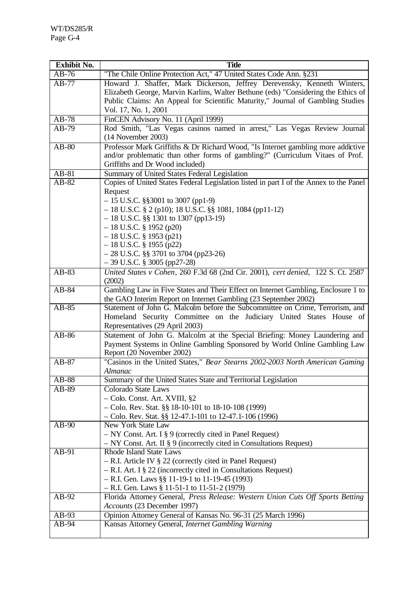| <b>Exhibit No.</b> | <b>Title</b>                                                                                                                                     |
|--------------------|--------------------------------------------------------------------------------------------------------------------------------------------------|
| $AB-76$            | "The Chile Online Protection Act," 47 United States Code Ann. §231                                                                               |
| $AB-77$            | Howard J. Shaffer, Mark Dickerson, Jeffrey Derevensky, Kenneth Winters,                                                                          |
|                    | Elizabeth George, Marvin Karlins, Walter Bethune (eds) "Considering the Ethics of                                                                |
|                    | Public Claims: An Appeal for Scientific Maturity," Journal of Gambling Studies                                                                   |
|                    | Vol. 17, No. 1, 2001                                                                                                                             |
| $AB-78$            | FinCEN Advisory No. 11 (April 1999)                                                                                                              |
| $AB-79$            | Rod Smith, "Las Vegas casinos named in arrest," Las Vegas Review Journal                                                                         |
|                    | $(14$ November 2003)                                                                                                                             |
| $AB-80$            | Professor Mark Griffiths & Dr Richard Wood, "Is Internet gambling more addictive                                                                 |
|                    | and/or problematic than other forms of gambling?" (Curriculum Vitaes of Prof.                                                                    |
|                    | Griffiths and Dr Wood included)                                                                                                                  |
| $AB-81$            | Summary of United States Federal Legislation                                                                                                     |
| $AB-82$            | Copies of United States Federal Legislation listed in part I of the Annex to the Panel                                                           |
|                    | Request                                                                                                                                          |
|                    | $-15$ U.S.C. §§3001 to 3007 (pp1-9)                                                                                                              |
|                    | $-18$ U.S.C. § 2 (p10); 18 U.S.C. §§ 1081, 1084 (pp11-12)                                                                                        |
|                    | $-18$ U.S.C. §§ 1301 to 1307 (pp13-19)                                                                                                           |
|                    | $-18$ U.S.C. § 1952 (p20)                                                                                                                        |
|                    | $-18$ U.S.C. § 1953 (p21)                                                                                                                        |
|                    | $-18$ U.S.C. § 1955 (p22)                                                                                                                        |
|                    | $-28$ U.S.C. §§ 3701 to 3704 (pp23-26)                                                                                                           |
|                    | $-39$ U.S.C. § 3005 (pp27-28)                                                                                                                    |
| $AB-83$            | United States v Cohen, 260 F.3d 68 (2nd Cir. 2001), cert denied, 122 S. Ct. 2587                                                                 |
|                    | (2002)                                                                                                                                           |
| $AB-84$            | Gambling Law in Five States and Their Effect on Internet Gambling, Enclosure 1 to                                                                |
| $AB-85$            | the GAO Interim Report on Internet Gambling (23 September 2002)<br>Statement of John G. Malcolm before the Subcommittee on Crime, Terrorism, and |
|                    | Homeland Security Committee on the Judiciary United States House of                                                                              |
|                    | Representatives (29 April 2003)                                                                                                                  |
| AB-86              | Statement of John G. Malcolm at the Special Briefing: Money Laundering and                                                                       |
|                    | Payment Systems in Online Gambling Sponsored by World Online Gambling Law                                                                        |
|                    | Report (20 November 2002)                                                                                                                        |
| $AB-87$            | "Casinos in the United States," Bear Stearns 2002-2003 North American Gaming                                                                     |
|                    | Almanac                                                                                                                                          |
| AB-88              | Summary of the United States State and Territorial Legislation                                                                                   |
| AB-89              | <b>Colorado State Laws</b>                                                                                                                       |
|                    | - Colo. Const. Art. XVIII, §2                                                                                                                    |
|                    | $-$ Colo. Rev. Stat. §§ 18-10-101 to 18-10-108 (1999)                                                                                            |
|                    | $-$ Colo. Rev. Stat. §§ 12-47.1-101 to 12-47.1-106 (1996)                                                                                        |
| $AB-90$            | New York State Law                                                                                                                               |
|                    | $-$ NY Const. Art. I § 9 (correctly cited in Panel Request)                                                                                      |
|                    | $-$ NY Const. Art. II § 9 (incorrectly cited in Consultations Request)                                                                           |
| $AB-91$            | Rhode Island State Laws                                                                                                                          |
|                    | $-$ R.I. Article IV § 22 (correctly cited in Panel Request)                                                                                      |
|                    | $-$ R.I. Art. I § 22 (incorrectly cited in Consultations Request)                                                                                |
|                    | $-$ R.I. Gen. Laws §§ 11-19-1 to 11-19-45 (1993)                                                                                                 |
|                    | $-$ R.I. Gen. Laws § 11-51-1 to 11-51-2 (1979)                                                                                                   |
| $AB-92$            | Florida Attorney General, Press Release: Western Union Cuts Off Sports Betting                                                                   |
|                    | Accounts (23 December 1997)                                                                                                                      |
| $AB-93$            | Opinion Attorney General of Kansas No. 96-31 (25 March 1996)                                                                                     |
| $AB-94$            | Kansas Attorney General, Internet Gambling Warning                                                                                               |
|                    |                                                                                                                                                  |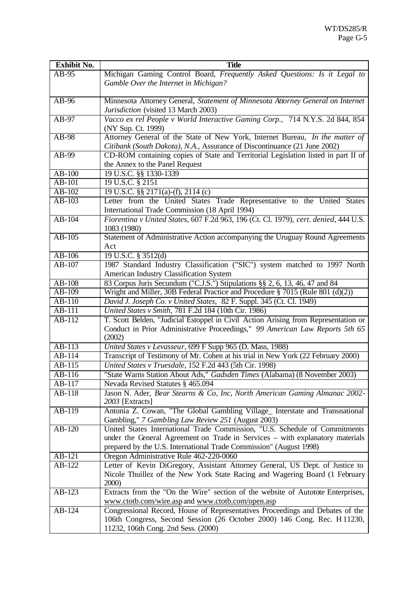| <b>Exhibit No.</b> | <b>Title</b>                                                                         |
|--------------------|--------------------------------------------------------------------------------------|
| $AB-95$            | Michigan Gaming Control Board, Frequently Asked Questions: Is it Legal to            |
|                    | Gamble Over the Internet in Michigan?                                                |
|                    |                                                                                      |
| $AB-96$            | Minnesota Attorney General, Statement of Minnesota Attorney General on Internet      |
|                    | Jurisdiction (visited 13 March 2003)                                                 |
| $AB-97$            | Vacco ex rel People v World Interactive Gaming Corp., 714 N.Y.S. 2d 844, 854         |
|                    | (NY Sup. Ct. 1999)                                                                   |
| $AB-98$            | Attorney General of the State of New York, Internet Bureau, In the matter of         |
|                    | Citibank (South Dakota), N.A., Assurance of Discontinuance (21 June 2002)            |
| AB-99              | CD-ROM containing copies of State and Territorial Legislation listed in part II of   |
|                    | the Annex to the Panel Request                                                       |
| $AB-100$           | 19 U.S.C. §§ 1330-1339                                                               |
| AB-101             | 19 U.S.C. § 2151                                                                     |
| AB-102             | 19 U.S.C. §§ 2171(a)-(f), 2114 (c)                                                   |
| AB-103             | Letter from the United States Trade Representative to the United States              |
|                    | International Trade Commission (18 April 1994)                                       |
| $AB-104$           | Fiorentina v United States, 607 F.2d 963, 196 (Ct. Cl. 1979), cert. denied, 444 U.S. |
|                    | 1083 (1980)                                                                          |
| $AB-105$           | Statement of Administrative Action accompanying the Uruguay Round Agreements         |
|                    | Act                                                                                  |
| AB-106             | 19 U.S.C. § 3512(d)                                                                  |
| AB-107             | 1987 Standard Industry Classification ("SIC") system matched to 1997 North           |
|                    |                                                                                      |
|                    | American Industry Classification System                                              |
| AB-108             | 83 Corpus Juris Secundum ("C.J.S.") Stipulations §§ 2, 6, 13, 46, 47 and 84          |
| AB-109             | Wright and Miller, 30B Federal Practice and Procedure § 7015 (Rule 801 (d)(2))       |
| AB-110             | David J. Joseph Co. v United States, 82 F. Suppl. 345 (Ct. Cl. 1949)                 |
| AB-111             | United States v Smith, 781 F.2d 184 (10th Cir. 1986)                                 |
| AB-112             | T. Scott Belden, "Judicial Estoppel in Civil Action Arising from Representation or   |
|                    | Conduct in Prior Administrative Proceedings," 99 American Law Reports 5th 65         |
|                    | (2002)                                                                               |
| AB-113             | United States v Levasseur, 699 F Supp 965 (D. Mass, 1988)                            |
| $AB-114$           | Transcript of Testimony of Mr. Cohen at his trial in New York (22 February 2000)     |
| $AB-115$           | United States v Truesdale, 152 F.2d 443 (5th Cir. 1998)                              |
| AB-116             | "State Warns Station About Ads," Gadsden Times (Alabama) (8 November 2003)           |
| AB-117             | Nevada Revised Statutes § 465.094                                                    |
| AB-118             | Jason N. Ader, Bear Stearns & Co, Inc, North American Gaming Almanac 2002-           |
|                    | 2003 [Extracts]                                                                      |
| AB-119             | Antonia Z. Cowan, "The Global Gambling Village_ Interstate and Transnational         |
|                    | Gambling," 7 Gambling Law Review 251 (August 2003)                                   |
| $AB-120$           | United States International Trade Commission, "U.S. Schedule of Commitments          |
|                    | under the General Agreement on Trade in Services - with explanatory materials        |
|                    | prepared by the U.S. International Trade Commission" (August 1998)                   |
| $AB-121$           | Oregon Administrative Rule 462-220-0060                                              |
| AB-122             | Letter of Kevin DiGregory, Assistant Attorney General, US Dept. of Justice to        |
|                    | Nicole Thuillez of the New York State Racing and Wagering Board (1 February          |
|                    | <b>2000</b> )                                                                        |
| AB-123             | Extracts from the "On the Wire" section of the website of Autotote Enterprises,      |
|                    | www.ctotb.com/wire.asp and www.ctotb.com/open.asp                                    |
| AB-124             | Congressional Record, House of Representatives Proceedings and Debates of the        |
|                    | 106th Congress, Second Session (26 October 2000) 146 Cong. Rec. H 11230,             |
|                    | 11232, 106th Cong. 2nd Sess. (2000)                                                  |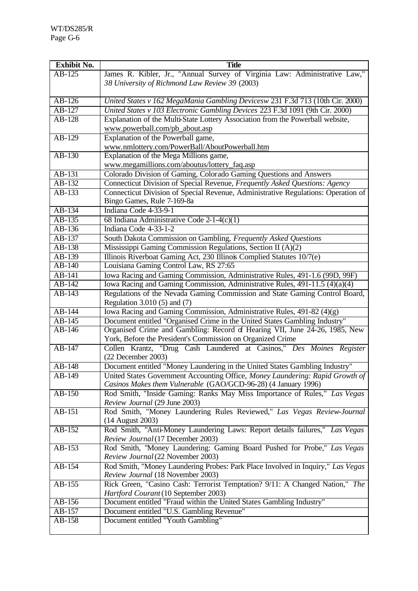| <b>Exhibit No.</b> | <b>Title</b>                                                                                                                                    |
|--------------------|-------------------------------------------------------------------------------------------------------------------------------------------------|
| $AB-125$           | James R. Kibler, Jr., "Annual Survey of Virginia Law: Administrative Law,"                                                                      |
|                    | 38 University of Richmond Law Review 39 (2003)                                                                                                  |
|                    |                                                                                                                                                 |
| $AB-126$           | United States v 162 MegaMania Gambling Devicesw 231 F.3d 713 (10th Cir. 2000)                                                                   |
| AB-127             | United States v 103 Electronic Gambling Devices 223 F.3d 1091 (9th Cir. 2000)                                                                   |
| $AB-128$           | Explanation of the Multi-State Lottery Association from the Powerball website,                                                                  |
|                    | www.powerball.com/pb_about.asp                                                                                                                  |
| $AB-129$           | Explanation of the Powerball game,                                                                                                              |
|                    | www.nmlottery.com/PowerBall/AboutPowerball.htm                                                                                                  |
| $AB-130$           | Explanation of the Mega Millions game,                                                                                                          |
|                    | www.megamillions.com/aboutus/lottery_faq.asp                                                                                                    |
| AB-131             | Colorado Division of Gaming, Colorado Gaming Questions and Answers                                                                              |
| AB-132             | Connecticut Division of Special Revenue, Frequently Asked Questions: Agency                                                                     |
| AB-133             | Connecticut Division of Special Revenue, Administrative Regulations: Operation of                                                               |
|                    | Bingo Games, Rule 7-169-8a                                                                                                                      |
| $AB-134$           | Indiana Code 4-33-9-1                                                                                                                           |
| AB-135             | 68 Indiana Administrative Code 2-1-4(c)(1)                                                                                                      |
| AB-136             | Indiana Code 4-33-1-2                                                                                                                           |
| $AB-137$           | South Dakota Commission on Gambling, Frequently Asked Questions                                                                                 |
| AB-138             | Mississippi Gaming Commission Regulations, Section II (A)(2)                                                                                    |
| AB-139             | Illinois Riverboat Gaming Act, 230 Illinois Complied Statutes 10/7(e)                                                                           |
| AB-140             | Louisiana Gaming Control Law, RS 27:65                                                                                                          |
| AB-141             | Iowa Racing and Gaming Commission, Administrative Rules, 491-1.6 (99D, 99F)                                                                     |
| AB-142             | Iowa Racing and Gaming Commission, Administrative Rules, 491-11.5 (4)(a)(4)                                                                     |
| AB-143             | Regulations of the Nevada Gaming Commission and State Gaming Control Board,                                                                     |
|                    | Regulation 3.010 (5) and (7)                                                                                                                    |
| $AB-144$           | Iowa Racing and Gaming Commission, Administrative Rules, 491-82 (4)(g)                                                                          |
| AB-145<br>AB-146   | Document entitled "Organised Crime in the United States Gambling Industry"                                                                      |
|                    | Organised Crime and Gambling: Record of Hearing VII, June 24-26, 1985, New<br>York, Before the President's Commission on Organized Crime        |
| AB-147             | Collen Krantz, "Drug Cash Laundered at Casinos," Des Moines Register<br>$(22$ December $2003)$                                                  |
| $AB-148$           | Document entitled "Money Laundering in the United States Gambling Industry"                                                                     |
| AB-149             | United States Government Accounting Office, Money Laundering: Rapid Growth of<br>Casinos Makes them Vulnerable (GAO/GCD-96-28) (4 January 1996) |
| $AB-150$           | Rod Smith, "Inside Gaming: Ranks May Miss Importance of Rules," Las Vegas                                                                       |
|                    | Review Journal (29 June 2003)                                                                                                                   |
| $AB-151$           | Rod Smith, "Money Laundering Rules Reviewed," Las Vegas Review-Journal                                                                          |
|                    | (14 August 2003)                                                                                                                                |
| AB-152             | Rod Smith, "Anti-Money Laundering Laws: Report details failures," Las Vegas                                                                     |
|                    | Review Journal (17 December 2003)                                                                                                               |
| AB-153             | Rod Smith, "Money Laundering: Gaming Board Pushed for Probe," Las Vegas                                                                         |
|                    | Review Journal (22 November 2003)                                                                                                               |
| AB-154             | Rod Smith, "Money Laundering Probes: Park Place Involved in Inquiry," Las Vegas<br>Review Journal (18 November 2003)                            |
| AB-155             | Rick Green, "Casino Cash: Terrorist Temptation? 9/11: A Changed Nation," The                                                                    |
|                    | Hartford Courant (10 September 2003)                                                                                                            |
| AB-156             | Document entitled "Fraud within the United States Gambling Industry"                                                                            |
| AB-157             | Document entitled "U.S. Gambling Revenue"                                                                                                       |
| AB-158             | Document entitled "Youth Gambling"                                                                                                              |
|                    |                                                                                                                                                 |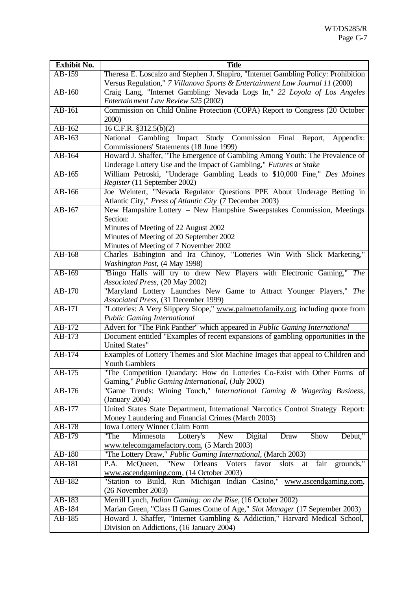| <b>Exhibit No.</b> | <b>Title</b>                                                                                                                       |
|--------------------|------------------------------------------------------------------------------------------------------------------------------------|
| AB-159             | Theresa E. Loscalzo and Stephen J. Shapiro, "Internet Gambling Policy: Prohibition                                                 |
|                    | Versus Regulation," 7 Villanova Sports & Entertainment Law Journal 11 (2000)                                                       |
| $AB-160$           | Craig Lang, "Internet Gambling: Nevada Logs In," 22 Loyola of Los Angeles                                                          |
|                    | Entertain ment Law Review 525 (2002)                                                                                               |
| AB-161             | Commission on Child Online Protection (COPA) Report to Congress (20 October                                                        |
|                    | 2000)                                                                                                                              |
| $AB-162$           | 16 C.F.R. $\S312.5(b)(2)$                                                                                                          |
| $AB-163$           | National Gambling Impact Study Commission Final<br>Appendix:<br>Report,                                                            |
|                    | Commissioners' Statements (18 June 1999)                                                                                           |
| AB-164             | Howard J. Shaffer, "The Emergence of Gambling Among Youth: The Prevalence of                                                       |
|                    | Underage Lottery Use and the Impact of Gambling," Futures at Stake                                                                 |
| AB-165             | William Petroski, "Underage Gambling Leads to \$10,000 Fine," Des Moines                                                           |
|                    | Register (11 September 2002)                                                                                                       |
| $AB-166$           | Joe Weintert, "Nevada Regulator Questions PPE About Underage Betting in                                                            |
| AB-167             | Atlantic City," Press of Atlantic City (7 December 2003)<br>New Hampshire Lottery - New Hampshire Sweepstakes Commission, Meetings |
|                    | Section:                                                                                                                           |
|                    | Minutes of Meeting of 22 August 2002                                                                                               |
|                    | Minutes of Meeting of 20 September 2002                                                                                            |
|                    | Minutes of Meeting of 7 November 2002                                                                                              |
| AB-168             | Charles Babington and Ira Chinoy, "Lotteries Win With Slick Marketing,"                                                            |
|                    | Washington Post, (4 May 1998)                                                                                                      |
| $AB-169$           | "Bingo Halls will try to drew New Players with Electronic Gaming," The                                                             |
|                    | Associated Press, (20 May 2002)                                                                                                    |
| $AB-170$           | "Maryland Lottery Launches New Game to Attract Younger Players," The                                                               |
|                    | Associated Press, (31 December 1999)                                                                                               |
| $AB-171$           | "Lotteries: A Very Slippery Slope," www.palmettofamily.org, including quote from                                                   |
|                    | <b>Public Gaming International</b>                                                                                                 |
| AB-172             | Advert for "The Pink Panther" which appeared in Public Gaming International                                                        |
| AB-173             | Document entitled "Examples of recent expansions of gambling opportunities in the                                                  |
|                    | United States"                                                                                                                     |
| $AB-174$           | Examples of Lottery Themes and Slot Machine Images that appeal to Children and                                                     |
| AB-175             | <b>Youth Gamblers</b><br>"The Competition Quandary: How do Lotteries Co-Exist with Other Forms of                                  |
|                    | Gaming," Public Gaming International, (July 2002)                                                                                  |
| AB-176             | "Game Trends: Wining Touch," International Gaming & Wagering Business,                                                             |
|                    | (January 2004)                                                                                                                     |
| AB-177             | United States State Department, International Narcotics Control Strategy Report:                                                   |
|                    | Money Laundering and Financial Crimes (March 2003)                                                                                 |
| AB-178             | Iowa Lottery Winner Claim Form                                                                                                     |
| AB-179             | Debut,"<br>"The<br>Minnesota<br><b>New</b><br>Digital<br>Draw<br>Show<br>Lottery's                                                 |
|                    | www.telecomgamefactory.com, (5 March 2003)                                                                                         |
| AB-180             | "The Lottery Draw," Public Gaming International, (March 2003)                                                                      |
| AB-181             | P.A. McQueen, "New Orleans Voters<br>grounds,"<br>favor<br>slots<br>fair<br>at                                                     |
|                    | www.ascendgaming.com, (14 October 2003)                                                                                            |
| AB-182             | "Station to Build, Run Michigan Indian Casino," www.ascendgaming.com,                                                              |
|                    | $(26$ November $2003)$                                                                                                             |
| AB-183             | Merrill Lynch, Indian Gaming: on the Rise, (16 October 2002)                                                                       |
| AB-184             | Marian Green, "Class II Games Come of Age," Slot Manager (17 September 2003)                                                       |
| AB-185             | Howard J. Shaffer, "Internet Gambling & Addiction," Harvard Medical School,                                                        |
|                    | Division on Addictions, (16 January 2004)                                                                                          |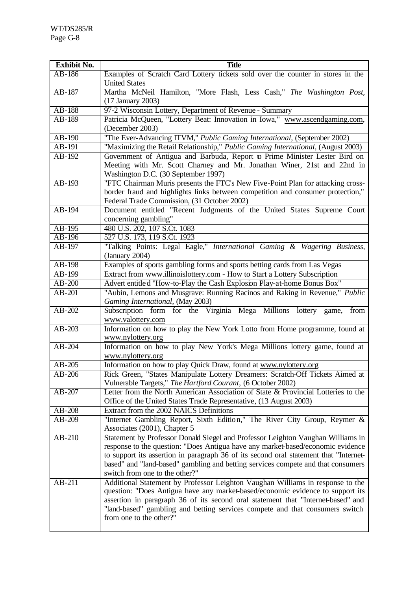| <b>Exhibit No.</b> | <b>Title</b>                                                                                                    |
|--------------------|-----------------------------------------------------------------------------------------------------------------|
| AB-186             | Examples of Scratch Card Lottery tickets sold over the counter in stores in the                                 |
|                    | <b>United States</b>                                                                                            |
| AB-187             | Martha McNeil Hamilton, "More Flash, Less Cash," The Washington Post,                                           |
|                    | (17 January 2003)                                                                                               |
| AB-188             | 97-2 Wisconsin Lottery, Department of Revenue - Summary                                                         |
| AB-189             | Patricia McQueen, "Lottery Beat: Innovation in Iowa," www.ascendgaming.com,                                     |
|                    | (December 2003)                                                                                                 |
| AB-190             | "The Ever-Advancing ITVM," Public Gaming International, (September 2002)                                        |
| AB-191             | "Maximizing the Retail Relationship," Public Gaming International, (August 2003)                                |
| AB-192             | Government of Antigua and Barbuda, Report to Prime Minister Lester Bird on                                      |
|                    | Meeting with Mr. Scott Charney and Mr. Jonathan Winer, 21st and 22nd in                                         |
|                    | Washington D.C. (30 September 1997)                                                                             |
| AB-193             | "FTC Chairman Muris presents the FTC's New Five-Point Plan for attacking cross-                                 |
|                    | border fraud and highlights links between competition and consumer protection,"                                 |
|                    | Federal Trade Commission, (31 October 2002)                                                                     |
| $AB-194$           | Document entitled "Recent Judgments of the United States Supreme Court                                          |
|                    | concerning gambling"                                                                                            |
| AB-195             | 480 U.S. 202, 107 S.Ct. 1083                                                                                    |
| AB-196             | 527 U.S. 173, 119 S.Ct. 1923                                                                                    |
| AB-197             | "Talking Points: Legal Eagle," International Gaming & Wagering Business,                                        |
|                    | (January 2004)                                                                                                  |
| AB-198             | Examples of sports gambling forms and sports betting cards from Las Vegas                                       |
| AB-199             | Extract from www.illinoislottery.com - How to Start a Lottery Subscription                                      |
| $AB-200$           | Advert entitled "How-to-Play the Cash Explosion Play-at-home Bonus Box"                                         |
| AB-201             | "Aubin, Lemons and Musgrave: Running Racinos and Raking in Revenue," Public                                     |
|                    | Gaming International, (May 2003)                                                                                |
| AB-202             | Subscription form for the Virginia Mega Millions lottery game, from                                             |
|                    | www.valottery.com                                                                                               |
| AB-203             | Information on how to play the New York Lotto from Home programme, found at                                     |
|                    | www.nylottery.org                                                                                               |
| $AB-204$           | Information on how to play New York's Mega Millions lottery game, found at                                      |
|                    | www.nylottery.org                                                                                               |
| AB-205             | Information on how to play Quick Draw, found at www.nylottery.org                                               |
| $AB-206$           | Rick Green, "States Manipulate Lottery Dreamers: Scratch-Off Tickets Aimed at                                   |
|                    | Vulnerable Targets," The Hartford Courant, (6 October 2002)                                                     |
| $AB-207$           | Letter from the North American Association of State & Provincial Lotteries to the                               |
|                    | Office of the United States Trade Representative, (13 August 2003)                                              |
| AB-208             | Extract from the 2002 NAICS Definitions                                                                         |
| AB-209             | "Internet Gambling Report, Sixth Edition," The River City Group, Reymer &                                       |
|                    | Associates (2001), Chapter 5<br>Statement by Professor Donald Siegel and Professor Leighton Vaughan Williams in |
| AB-210             | response to the question: "Does Antigua have any market-based/economic evidence                                 |
|                    | to support its assertion in paragraph 36 of its second oral statement that "Internet-                           |
|                    | based" and "land-based" gambling and betting services compete and that consumers                                |
|                    | switch from one to the other?"                                                                                  |
| AB-211             | Additional Statement by Professor Leighton Vaughan Williams in response to the                                  |
|                    | question: "Does Antigua have any market-based/economic evidence to support its                                  |
|                    | assertion in paragraph 36 of its second oral statement that "Internet-based" and                                |
|                    | "land-based" gambling and betting services compete and that consumers switch                                    |
|                    | from one to the other?"                                                                                         |
|                    |                                                                                                                 |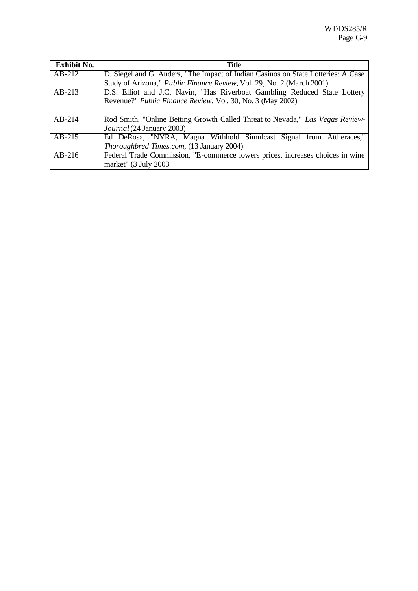| <b>Exhibit No.</b> | <b>Title</b>                                                                      |
|--------------------|-----------------------------------------------------------------------------------|
| $AB-212$           | D. Siegel and G. Anders, "The Impact of Indian Casinos on State Lotteries: A Case |
|                    | Study of Arizona," Public Finance Review, Vol. 29, No. 2 (March 2001)             |
| $AB-213$           | D.S. Elliot and J.C. Navin, "Has Riverboat Gambling Reduced State Lottery         |
|                    | Revenue?" Public Finance Review, Vol. 30, No. 3 (May 2002)                        |
|                    |                                                                                   |
| $AB-214$           | Rod Smith, "Online Betting Growth Called Threat to Nevada," Las Vegas Review-     |
|                    | Journal (24 January 2003)                                                         |
| $AB-215$           | Ed DeRosa, "NYRA, Magna Withhold Simulcast Signal from Attheraces,"               |
|                    | Thoroughbred Times.com, (13 January 2004)                                         |
| $AB-216$           | Federal Trade Commission, "E-commerce lowers prices, increases choices in wine    |
|                    | market" (3 July 2003                                                              |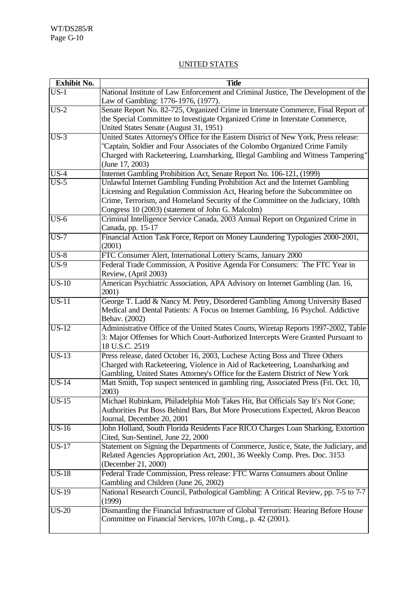## UNITED STATES

| Exhibit No.       | <b>Title</b>                                                                                                                        |
|-------------------|-------------------------------------------------------------------------------------------------------------------------------------|
| $US-1$            | National Institute of Law Enforcement and Criminal Justice, The Development of the                                                  |
|                   | Law of Gambling: 1776-1976, (1977).                                                                                                 |
| $US-2$            | Senate Report No. 82-725, Organized Crime in Interstate Commerce, Final Report of                                                   |
|                   | the Special Committee to Investigate Organized Crime in Interstate Commerce,                                                        |
|                   | United States Senate (August 31, 1951)                                                                                              |
| $US-3$            | United States Attorney's Office for the Eastern District of New York, Press release:                                                |
|                   | "Captain, Soldier and Four Associates of the Colombo Organized Crime Family                                                         |
|                   | Charged with Racketeering, Loansharking, Illegal Gambling and Witness Tampering"                                                    |
|                   | (June 17, 2003)                                                                                                                     |
| $\overline{US-4}$ | Internet Gambling Prohibition Act, Senate Report No. 106-121, (1999)                                                                |
| $US-5$            | Unlawful Internet Gambling Funding Prohibition Act and the Internet Gambling                                                        |
|                   | Licensing and Regulation Commission Act, Hearing before the Subcommittee on                                                         |
|                   | Crime, Terrorism, and Homeland Security of the Committee on the Judiciary, 108th                                                    |
| $US-6$            | Congress 10 (2003) (statement of John G. Malcolm)<br>Criminal Intelligence Service Canada, 2003 Annual Report on Organized Crime in |
|                   | Canada, pp. 15-17                                                                                                                   |
| $US-7$            | Financial Action Task Force, Report on Money Laundering Typologies 2000-2001,                                                       |
|                   | (2001)                                                                                                                              |
| $US-8$            | FTC Consumer Alert, International Lottery Scams, January 2000                                                                       |
| $\overline{US-9}$ | Federal Trade Commission, A Positive Agenda For Consumers: The FTC Year in                                                          |
|                   | Review, (April 2003)                                                                                                                |
| $US-10$           | American Psychiatric Association, APA Advisory on Internet Gambling (Jan. 16,                                                       |
|                   | 2001)                                                                                                                               |
| $US-11$           | George T. Ladd & Nancy M. Petry, Disordered Gambling Among University Based                                                         |
|                   | Medical and Dental Patients: A Focus on Internet Gambling, 16 Psychol. Addictive                                                    |
|                   | Behav. (2002)                                                                                                                       |
| $US-12$           | Administrative Office of the United States Courts, Wiretap Reports 1997-2002, Table                                                 |
|                   | 3: Major Offenses for Which Court-Authorized Intercepts Were Granted Pursuant to<br>18 U.S.C. 2519                                  |
| $US-13$           | Press release, dated October 16, 2003, Luchese Acting Boss and Three Others                                                         |
|                   | Charged with Racketeering, Violence in Aid of Racketeering, Loansharking and                                                        |
|                   | Gambling, United States Attorney's Office for the Eastern District of New York                                                      |
| $US-14$           | Matt Smith, Top suspect sentenced in gambling ring, Associated Press (Fri. Oct. 10,                                                 |
|                   | 2003)                                                                                                                               |
| $US-15$           | Michael Rubinkam, Philadelphia Mob Takes Hit, But Officials Say It's Not Gone;                                                      |
|                   | Authorities Put Boss Behind Bars, But More Prosecutions Expected, Akron Beacon                                                      |
|                   | Journal, December 20, 2001                                                                                                          |
| $US-16$           | John Holland, South Florida Residents Face RICO Charges Loan Sharking, Extortion                                                    |
|                   | Cited, Sun-Sentinel, June 22, 2000                                                                                                  |
| <b>US-17</b>      | Statement on Signing the Departments of Commerce, Justice, State, the Judiciary, and                                                |
|                   | Related Agencies Appropriation Act, 2001, 36 Weekly Comp. Pres. Doc. 3153                                                           |
|                   | (December 21, 2000)                                                                                                                 |
| <b>US-18</b>      | Federal Trade Commission, Press release: FTC Warns Consumers about Online                                                           |
|                   | Gambling and Children (June 26, 2002)                                                                                               |
| <b>US-19</b>      | National Research Council, Pathological Gambling: A Critical Review, pp. 7-5 to 7-7                                                 |
|                   | (1999)                                                                                                                              |
| $US-20$           | Dismantling the Financial Infrastructure of Global Terrorism: Hearing Before House                                                  |
|                   | Committee on Financial Services, 107th Cong., p. 42 (2001).                                                                         |
|                   |                                                                                                                                     |